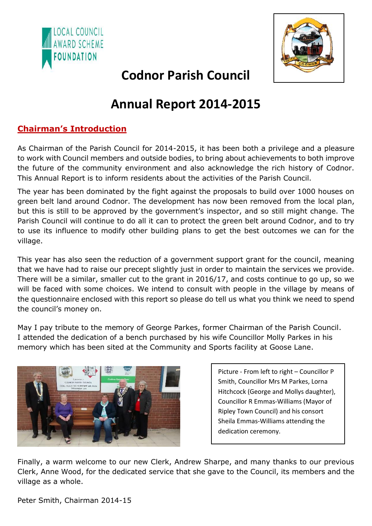



# **Codnor Parish Council**

# **Annual Report 2014-2015**

## **Chairman's Introduction**

As Chairman of the Parish Council for 2014-2015, it has been both a privilege and a pleasure to work with Council members and outside bodies, to bring about achievements to both improve the future of the community environment and also acknowledge the rich history of Codnor. This Annual Report is to inform residents about the activities of the Parish Council.

The year has been dominated by the fight against the proposals to build over 1000 houses on green belt land around Codnor. The development has now been removed from the local plan, but this is still to be approved by the government's inspector, and so still might change. The Parish Council will continue to do all it can to protect the green belt around Codnor, and to try to use its influence to modify other building plans to get the best outcomes we can for the village.

This year has also seen the reduction of a government support grant for the council, meaning that we have had to raise our precept slightly just in order to maintain the services we provide. There will be a similar, smaller cut to the grant in 2016/17, and costs continue to go up, so we will be faced with some choices. We intend to consult with people in the village by means of the questionnaire enclosed with this report so please do tell us what you think we need to spend the council's money on.

May I pay tribute to the memory of George Parkes, former Chairman of the Parish Council. I attended the dedication of a bench purchased by his wife Councillor Molly Parkes in his memory which has been sited at the Community and Sports facility at Goose Lane.



Picture - From left to right – Councillor P Smith, Councillor Mrs M Parkes, Lorna Hitchcock (George and Mollys daughter), Councillor R Emmas-Williams (Mayor of Ripley Town Council) and his consort Sheila Emmas-Williams attending the dedication ceremony.

Finally, a warm welcome to our new Clerk, Andrew Sharpe, and many thanks to our previous Clerk, Anne Wood, for the dedicated service that she gave to the Council, its members and the village as a whole.

Peter Smith, Chairman 2014-15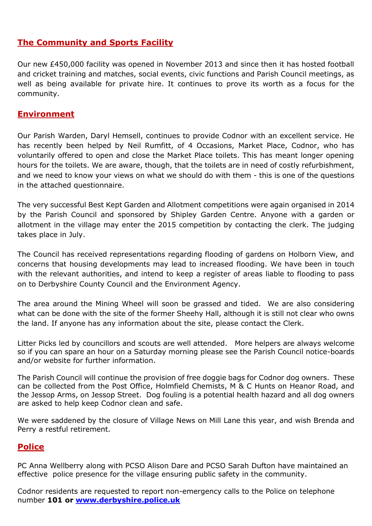## **The Community and Sports Facility**

Our new £450,000 facility was opened in November 2013 and since then it has hosted football and cricket training and matches, social events, civic functions and Parish Council meetings, as well as being available for private hire. It continues to prove its worth as a focus for the community.

### **Environment**

Our Parish Warden, Daryl Hemsell, continues to provide Codnor with an excellent service. He has recently been helped by Neil Rumfitt, of 4 Occasions, Market Place, Codnor, who has voluntarily offered to open and close the Market Place toilets. This has meant longer opening hours for the toilets. We are aware, though, that the toilets are in need of costly refurbishment, and we need to know your views on what we should do with them - this is one of the questions in the attached questionnaire.

The very successful Best Kept Garden and Allotment competitions were again organised in 2014 by the Parish Council and sponsored by Shipley Garden Centre. Anyone with a garden or allotment in the village may enter the 2015 competition by contacting the clerk. The judging takes place in July.

The Council has received representations regarding flooding of gardens on Holborn View, and concerns that housing developments may lead to increased flooding. We have been in touch with the relevant authorities, and intend to keep a register of areas liable to flooding to pass on to Derbyshire County Council and the Environment Agency.

The area around the Mining Wheel will soon be grassed and tided. We are also considering what can be done with the site of the former Sheehy Hall, although it is still not clear who owns the land. If anyone has any information about the site, please contact the Clerk.

Litter Picks led by councillors and scouts are well attended. More helpers are always welcome so if you can spare an hour on a Saturday morning please see the Parish Council notice-boards and/or website for further information.

The Parish Council will continue the provision of free doggie bags for Codnor dog owners. These can be collected from the Post Office, Holmfield Chemists, M & C Hunts on Heanor Road, and the Jessop Arms, on Jessop Street. Dog fouling is a potential health hazard and all dog owners are asked to help keep Codnor clean and safe.

We were saddened by the closure of Village News on Mill Lane this year, and wish Brenda and Perry a restful retirement.

## **Police**

PC Anna Wellberry along with PCSO Alison Dare and PCSO Sarah Dufton have maintained an effective police presence for the village ensuring public safety in the community.

Codnor residents are requested to report non-emergency calls to the Police on telephone number **101 o[r www.derbyshire.police.uk](http://www.derbyshire.police.uk/)**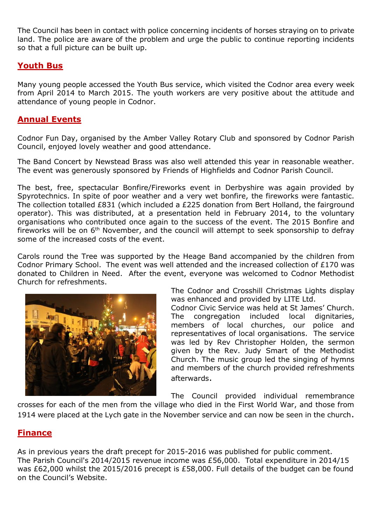The Council has been in contact with police concerning incidents of horses straying on to private land. The police are aware of the problem and urge the public to continue reporting incidents so that a full picture can be built up.

## **Youth Bus**

Many young people accessed the Youth Bus service, which visited the Codnor area every week from April 2014 to March 2015. The youth workers are very positive about the attitude and attendance of young people in Codnor.

### **Annual Events**

Codnor Fun Day, organised by the Amber Valley Rotary Club and sponsored by Codnor Parish Council, enjoyed lovely weather and good attendance.

The Band Concert by Newstead Brass was also well attended this year in reasonable weather. The event was generously sponsored by Friends of Highfields and Codnor Parish Council.

The best, free, spectacular Bonfire/Fireworks event in Derbyshire was again provided by Spyrotechnics. In spite of poor weather and a very wet bonfire, the fireworks were fantastic. The collection totalled £831 (which included a £225 donation from Bert Holland, the fairground operator). This was distributed, at a presentation held in February 2014, to the voluntary organisations who contributed once again to the success of the event. The 2015 Bonfire and fireworks will be on  $6<sup>th</sup>$  November, and the council will attempt to seek sponsorship to defray some of the increased costs of the event.

Carols round the Tree was supported by the Heage Band accompanied by the children from Codnor Primary School. The event was well attended and the increased collection of £170 was donated to Children in Need. After the event, everyone was welcomed to Codnor Methodist Church for refreshments.



The Codnor and Crosshill Christmas Lights display was enhanced and provided by LITE Ltd.

Codnor Civic Service was held at St James' Church. The congregation included local dignitaries, members of local churches, our police and representatives of local organisations. The service was led by Rev Christopher Holden, the sermon given by the Rev. Judy Smart of the Methodist Church. The music group led the singing of hymns and members of the church provided refreshments afterwards.

The Council provided individual remembrance

crosses for each of the men from the village who died in the First World War, and those from 1914 were placed at the Lych gate in the November service and can now be seen in the church.

## **Finance**

As in previous years the draft precept for 2015-2016 was published for public comment. The Parish Council's 2014/2015 revenue income was £56,000. Total expenditure in 2014/15 was £62,000 whilst the 2015/2016 precept is £58,000. Full details of the budget can be found on the Council's Website.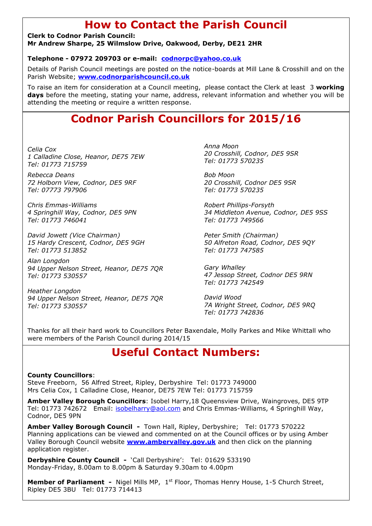## **How to Contact the Parish Council**

**Clerk to Codnor Parish Council: Mr Andrew Sharpe, 25 Wilmslow Drive, Oakwood, Derby, DE21 2HR**

#### **Telephone - 07972 209703 or e-mail: [codnorpc@yahoo.co.uk](mailto:codnorpc@yahoo.co.uk)**

Details of Parish Council meetings are posted on the notice-boards at Mill Lane & Crosshill and on the Parish Website; **[www.codnorparishcouncil.co.uk](http://www.codnorparishcouncil.co.uk/)**

To raise an item for consideration at a Council meeting, please contact the Clerk at least 3 **working**  days before the meeting, stating your name, address, relevant information and whether you will be attending the meeting or require a written response.

## **Codnor Parish Councillors for 2015/16**

*Celia Cox 1 Calladine Close, Heanor, DE75 7EW Tel: 01773 715759*

*Rebecca Deans 72 Holborn View, Codnor, DE5 9RF Tel: 07773 797906*

*Chris Emmas-Williams 4 Springhill Way, Codnor, DE5 9PN Tel: 01773 746041*

*David Jowett (Vice Chairman) 15 Hardy Crescent, Codnor, DE5 9GH Tel: 01773 513852*

*Alan Longdon 94 Upper Nelson Street, Heanor, DE75 7QR Tel: 01773 530557*

*Heather Longdon 94 Upper Nelson Street, Heanor, DE75 7QR Tel: 01773 530557*

*Anna Moon 20 Crosshill, Codnor, DE5 9SR Tel: 01773 570235*

*Bob Moon 20 Crosshill, Codnor DE5 9SR Tel: 01773 570235*

*Robert Phillips-Forsyth 34 Middleton Avenue, Codnor, DE5 9SS Tel: 01773 749566*

*Peter Smith (Chairman) 50 Alfreton Road, Codnor, DE5 9QY Tel: 01773 747585*

*Gary Whalley 47 Jessop Street, Codnor DE5 9RN Tel: 01773 742549*

*David Wood 7A Wright Street, Codnor, DE5 9RQ Tel: 01773 742836*

Thanks for all their hard work to Councillors Peter Baxendale, Molly Parkes and Mike Whittall who were members of the Parish Council during 2014/15

## **Useful Contact Numbers:**

#### **County Councillors**:

Steve Freeborn, 56 Alfred Street, Ripley, Derbyshire Tel: 01773 749000 Mrs Celia Cox, 1 Calladine Close, Heanor, DE75 7EW Tel: 01773 715759

**Amber Valley Borough Councillors**: Isobel Harry,18 Queensview Drive, Waingroves, DE5 9TP Tel: 01773 742672 Email: [isobelharry@aol.com](mailto:isobelharry@aol.com) and Chris Emmas-Williams, 4 Springhill Way, Codnor, DE5 9PN

**Amber Valley Borough Council -** Town Hall, Ripley, Derbyshire; Tel: 01773 570222 Planning applications can be viewed and commented on at the Council offices or by using Amber Valley Borough Council website **[www.ambervalley.gov.uk](http://www.ambervalley.gov.uk/)** and then click on the planning application register.

**Derbyshire County Council -** 'Call Derbyshire': Tel: 01629 533190 Monday-Friday, 8.00am to 8.00pm & Saturday 9.30am to 4.00pm

**Member of Parliament -** Nigel Mills MP, 1<sup>st</sup> Floor, Thomas Henry House, 1-5 Church Street, Ripley DE5 3BU Tel: 01773 714413